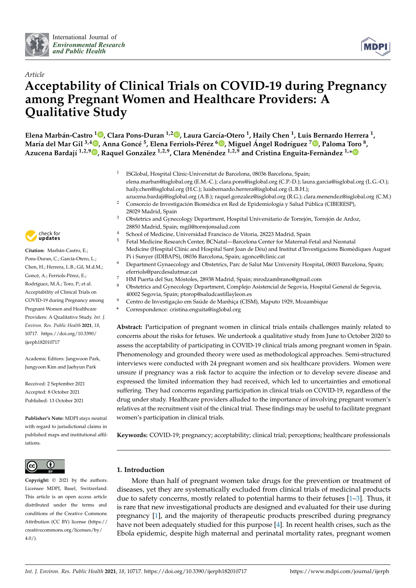



# *Article* **Acceptability of Clinical Trials on COVID-19 during Pregnancy among Pregnant Women and Healthcare Providers: A Qualitative Study**

**Elena Marbán-Castro [1](https://orcid.org/0000-0002-9715-0595) , Clara Pons-Duran 1,2 [,](https://orcid.org/0000-0002-9840-7559) Laura García-Otero <sup>1</sup> , Haily Chen <sup>1</sup> , Luis Bernardo Herrera <sup>1</sup> ,** María del Mar Gil <sup>3[,](https://orcid.org/0000-0002-2936-9341)4</sup>®, Anna Goncé <sup>5</sup>, Elena Ferriols-Pérez <sup>6</sup>®, Miguel Ángel Rodríguez <sup>7</sup>®, Paloma Toro <sup>8</sup>, **Azucena Bardají 1,2,9 [,](https://orcid.org/0000-0002-5135-0540) Raquel González 1,2,9, Clara Menéndez 1,2,9 and Cristina Enguita-Fernàndez 1,[\\*](https://orcid.org/0000-0003-4945-2094)**

- 1 ISGlobal, Hospital Clínic-Universitat de Barcelona, 08036 Barcelona, Spain; elena.marban@isglobal.org (E.M.-C.); clara.pons@isglobal.org (C.P.-D.); laura.garcia@isglobal.org (L.G.-O.); haily.chen@isglobal.org (H.C.); luisbernardo.herrera@isglobal.org (L.B.H.);
- azucena.bardaji@isglobal.org (A.B.); raquel.gonzalez@isglobal.org (R.G.); clara.menendez@isglobal.org (C.M.) <sup>2</sup> Consorcio de Investigación Biomédica en Red de Epidemiología y Salud Pública (CIBERESP), 28029 Madrid, Spain
- <sup>3</sup> Obstetrics and Gynecology Department, Hospital Universitario de Torrejón, Torrejón de Ardoz, 28850 Madrid, Spain; mgil@torrejonsalud.com
- <sup>4</sup> School of Medicine, Universidad Francisco de Vitoria, 28223 Madrid, Spain<br><sup>5</sup> Establisticia, Bassault Cartar PCN tial, Bancelone Cartar for Matemal I
	- <sup>5</sup> Fetal Medicine Research Center, BCNatal—Barcelona Center for Maternal-Fetal and Neonatal Medicine (Hospital Clínic and Hospital Sant Joan de Déu) and Institut d'Investigacions Biomèdiques August Pi i Sunyer (IDIBAPS), 08036 Barcelona, Spain; agonce@clinic.cat
- <sup>6</sup> Department Gynaecology and Obstetrics, Parc de Salut Mar University Hospital, 08003 Barcelona, Spain; eferriols@parcdesalutmar.cat
- <sup>7</sup> HM Puerta del Sur, Móstoles, 28938 Madrid, Spain; mrodzambrano@gmail.com
- <sup>8</sup> Obstetrics and Gynecology Department, Complejo Asistencial de Segovia, Hospital General de Segovia, 40002 Segovia, Spain; ptorop@saludcastillayleon.es
- <sup>9</sup> Centro de Investigação em Saúde de Manhiça (CISM), Maputo 1929, Mozambique
- **\*** Correspondence: cristina.enguita@isglobal.org

**Abstract:** Participation of pregnant women in clinical trials entails challenges mainly related to concerns about the risks for fetuses. We undertook a qualitative study from June to October 2020 to assess the acceptability of participating in COVID-19 clinical trials among pregnant women in Spain. Phenomenology and grounded theory were used as methodological approaches. Semi-structured interviews were conducted with 24 pregnant women and six healthcare providers. Women were unsure if pregnancy was a risk factor to acquire the infection or to develop severe disease and expressed the limited information they had received, which led to uncertainties and emotional suffering. They had concerns regarding participation in clinical trials on COVID-19, regardless of the drug under study. Healthcare providers alluded to the importance of involving pregnant women's relatives at the recruitment visit of the clinical trial. These findings may be useful to facilitate pregnant women's participation in clinical trials.

**Keywords:** COVID-19; pregnancy; acceptability; clinical trial; perceptions; healthcare professionals

# **1. Introduction**

More than half of pregnant women take drugs for the prevention or treatment of diseases, yet they are systematically excluded from clinical trials of medicinal products due to safety concerns, mostly related to potential harms to their fetuses [\[1–](#page-12-0)[3\]](#page-12-1). Thus, it is rare that new investigational products are designed and evaluated for their use during pregnancy [\[1\]](#page-12-0), and the majority of therapeutic products prescribed during pregnancy have not been adequately studied for this purpose [\[4\]](#page-12-2). In recent health crises, such as the Ebola epidemic, despite high maternal and perinatal mortality rates, pregnant women



# **Citation:** Marbán-Castro, E.;

Pons-Duran, C.; García-Otero, L.; Chen, H.; Herrera, L.B.; Gil, M.d.M.; Goncé, A.; Ferriols-Pérez, E.; Rodríguez, M.Á.; Toro, P.; et al. Acceptability of Clinical Trials on COVID-19 during Pregnancy among Pregnant Women and Healthcare Providers: A Qualitative Study. *Int. J. Environ. Res. Public Health* **2021**, *18*, 10717. [https://doi.org/10.3390/](https://doi.org/10.3390/ijerph182010717) [ijerph182010717](https://doi.org/10.3390/ijerph182010717)

Academic Editors: Jangwoon Park, Jungyoon Kim and Jaehyun Park

Received: 2 September 2021 Accepted: 8 October 2021 Published: 13 October 2021

**Publisher's Note:** MDPI stays neutral with regard to jurisdictional claims in published maps and institutional affiliations.



**Copyright:** © 2021 by the authors. Licensee MDPI, Basel, Switzerland. This article is an open access article distributed under the terms and conditions of the Creative Commons Attribution (CC BY) license (https:/[/](https://creativecommons.org/licenses/by/4.0/) [creativecommons.org/licenses/by/](https://creativecommons.org/licenses/by/4.0/)  $4.0/$ ).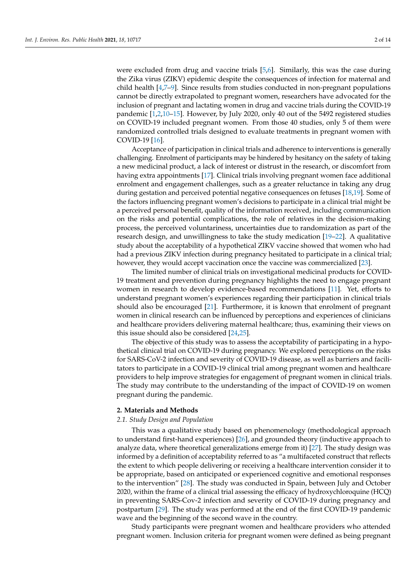were excluded from drug and vaccine trials [\[5,](#page-12-3)[6\]](#page-12-4). Similarly, this was the case during the Zika virus (ZIKV) epidemic despite the consequences of infection for maternal and child health [\[4,](#page-12-2)[7–](#page-12-5)[9\]](#page-12-6). Since results from studies conducted in non-pregnant populations cannot be directly extrapolated to pregnant women, researchers have advocated for the inclusion of pregnant and lactating women in drug and vaccine trials during the COVID-19 pandemic [\[1,](#page-12-0)[2,](#page-12-7)[10–](#page-12-8)[15\]](#page-12-9). However, by July 2020, only 40 out of the 5492 registered studies on COVID-19 included pregnant women. From those 40 studies, only 5 of them were randomized controlled trials designed to evaluate treatments in pregnant women with COVID-19 [\[16\]](#page-12-10).

Acceptance of participation in clinical trials and adherence to interventions is generally challenging. Enrolment of participants may be hindered by hesitancy on the safety of taking a new medicinal product, a lack of interest or distrust in the research, or discomfort from having extra appointments [\[17\]](#page-12-11). Clinical trials involving pregnant women face additional enrolment and engagement challenges, such as a greater reluctance in taking any drug during gestation and perceived potential negative consequences on fetuses [\[18,](#page-12-12)[19\]](#page-12-13). Some of the factors influencing pregnant women's decisions to participate in a clinical trial might be a perceived personal benefit, quality of the information received, including communication on the risks and potential complications, the role of relatives in the decision-making process, the perceived voluntariness, uncertainties due to randomization as part of the research design, and unwillingness to take the study medication [\[19](#page-12-13)[–22\]](#page-13-0). A qualitative study about the acceptability of a hypothetical ZIKV vaccine showed that women who had had a previous ZIKV infection during pregnancy hesitated to participate in a clinical trial; however, they would accept vaccination once the vaccine was commercialized [\[23\]](#page-13-1).

The limited number of clinical trials on investigational medicinal products for COVID-19 treatment and prevention during pregnancy highlights the need to engage pregnant women in research to develop evidence-based recommendations [\[11\]](#page-12-14). Yet, efforts to understand pregnant women's experiences regarding their participation in clinical trials should also be encouraged [\[21\]](#page-13-2). Furthermore, it is known that enrolment of pregnant women in clinical research can be influenced by perceptions and experiences of clinicians and healthcare providers delivering maternal healthcare; thus, examining their views on this issue should also be considered [\[24](#page-13-3)[,25\]](#page-13-4).

The objective of this study was to assess the acceptability of participating in a hypothetical clinical trial on COVID-19 during pregnancy. We explored perceptions on the risks for SARS-CoV-2 infection and severity of COVID-19 disease, as well as barriers and facilitators to participate in a COVID-19 clinical trial among pregnant women and healthcare providers to help improve strategies for engagement of pregnant women in clinical trials. The study may contribute to the understanding of the impact of COVID-19 on women pregnant during the pandemic.

# **2. Materials and Methods**

#### *2.1. Study Design and Population*

This was a qualitative study based on phenomenology (methodological approach to understand first-hand experiences) [\[26\]](#page-13-5), and grounded theory (inductive approach to analyze data, where theoretical generalizations emerge from it) [\[27\]](#page-13-6). The study design was informed by a definition of acceptability referred to as "a multifaceted construct that reflects the extent to which people delivering or receiving a healthcare intervention consider it to be appropriate, based on anticipated or experienced cognitive and emotional responses to the intervention" [\[28\]](#page-13-7). The study was conducted in Spain, between July and October 2020, within the frame of a clinical trial assessing the efficacy of hydroxychloroquine (HCQ) in preventing SARS-Cov-2 infection and severity of COVID-19 during pregnancy and postpartum [\[29\]](#page-13-8). The study was performed at the end of the first COVID-19 pandemic wave and the beginning of the second wave in the country.

Study participants were pregnant women and healthcare providers who attended pregnant women. Inclusion criteria for pregnant women were defined as being pregnant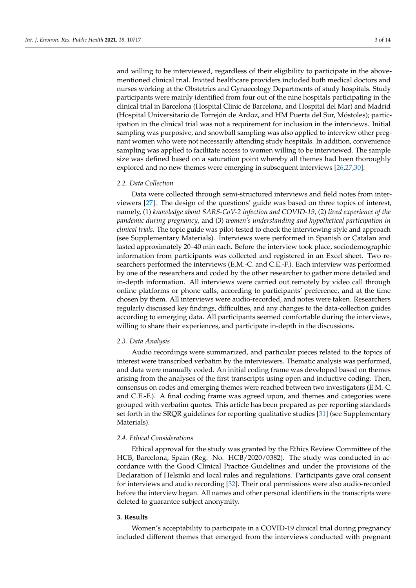and willing to be interviewed, regardless of their eligibility to participate in the abovementioned clinical trial. Invited healthcare providers included both medical doctors and nurses working at the Obstetrics and Gynaecology Departments of study hospitals. Study participants were mainly identified from four out of the nine hospitals participating in the clinical trial in Barcelona (Hospital Clínic de Barcelona, and Hospital del Mar) and Madrid (Hospital Universitario de Torrejón de Ardoz, and HM Puerta del Sur, Móstoles); participation in the clinical trial was not a requirement for inclusion in the interviews. Initial sampling was purposive, and snowball sampling was also applied to interview other pregnant women who were not necessarily attending study hospitals. In addition, convenience sampling was applied to facilitate access to women willing to be interviewed. The sample size was defined based on a saturation point whereby all themes had been thoroughly explored and no new themes were emerging in subsequent interviews [\[26,](#page-13-5)[27,](#page-13-6)[30\]](#page-13-9).

#### *2.2. Data Collection*

Data were collected through semi-structured interviews and field notes from interviewers [\[27\]](#page-13-6). The design of the questions' guide was based on three topics of interest, namely, (1) *knowledge about SARS-CoV-2 infection and COVID-19*, (2) *lived experience of the pandemic during pregnancy*, and (3) *women's understanding and hypothetical participation in clinical trials*. The topic guide was pilot-tested to check the interviewing style and approach (see Supplementary Materials). Interviews were performed in Spanish or Catalan and lasted approximately 20–40 min each. Before the interview took place, sociodemographic information from participants was collected and registered in an Excel sheet. Two researchers performed the interviews (E.M.-C. and C.E.-F.). Each interview was performed by one of the researchers and coded by the other researcher to gather more detailed and in-depth information. All interviews were carried out remotely by video call through online platforms or phone calls, according to participants' preference, and at the time chosen by them. All interviews were audio-recorded, and notes were taken. Researchers regularly discussed key findings, difficulties, and any changes to the data-collection guides according to emerging data. All participants seemed comfortable during the interviews, willing to share their experiences, and participate in-depth in the discussions.

#### *2.3. Data Analysis*

Audio recordings were summarized, and particular pieces related to the topics of interest were transcribed verbatim by the interviewers. Thematic analysis was performed, and data were manually coded. An initial coding frame was developed based on themes arising from the analyses of the first transcripts using open and inductive coding. Then, consensus on codes and emerging themes were reached between two investigators (E.M.-C. and C.E.-F.). A final coding frame was agreed upon, and themes and categories were grouped with verbatim quotes. This article has been prepared as per reporting standards set forth in the SRQR guidelines for reporting qualitative studies [\[31\]](#page-13-10) (see Supplementary Materials).

#### *2.4. Ethical Considerations*

Ethical approval for the study was granted by the Ethics Review Committee of the HCB, Barcelona, Spain (Reg. No. HCB/2020/0382). The study was conducted in accordance with the Good Clinical Practice Guidelines and under the provisions of the Declaration of Helsinki and local rules and regulations. Participants gave oral consent for interviews and audio recording [\[32\]](#page-13-11). Their oral permissions were also audio-recorded before the interview began. All names and other personal identifiers in the transcripts were deleted to guarantee subject anonymity.

# **3. Results**

Women's acceptability to participate in a COVID-19 clinical trial during pregnancy included different themes that emerged from the interviews conducted with pregnant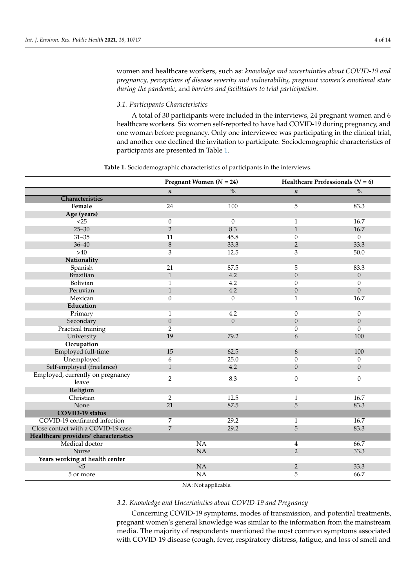Γ Ī women and healthcare workers, such as: *knowledge and uncertainties about COVID-19 and pregnancy, perceptions of disease severity and vulnerability, pregnant women's emotional state during the pandemic*, and *barriers and facilitators to trial participation*.

# *3.1. Participants Characteristics*

A total of 30 participants were included in the interviews, 24 pregnant women and 6 healthcare workers. Six women self-reported to have had COVID-19 during pregnancy, and one woman before pregnancy. Only one interviewee was participating in the clinical trial, and another one declined the invitation to participate. Sociodemographic characteristics of participants are presented in Table [1.](#page-3-0)

<span id="page-3-0"></span>

|                                       | Pregnant Women $(N = 24)$ |                      | Healthcare Professionals ( $N = 6$ ) |                      |
|---------------------------------------|---------------------------|----------------------|--------------------------------------|----------------------|
|                                       | $\boldsymbol{n}$          | $\frac{1}{\sqrt{6}}$ | $\boldsymbol{n}$                     | $\frac{1}{\sqrt{6}}$ |
| Characteristics                       |                           |                      |                                      |                      |
| Female                                | 24                        | 100                  | 5                                    | 83.3                 |
| Age (years)                           |                           |                      |                                      |                      |
| <25                                   | $\overline{0}$            | $\overline{0}$       | $\mathbf{1}$                         | 16.7                 |
| $25 - 30$                             | $\overline{2}$            | 8.3                  | $\mathbf{1}$                         | 16.7                 |
| $31 - 35$                             | 11                        | 45.8                 | $\theta$                             | $\boldsymbol{0}$     |
| $36 - 40$                             | $8\,$                     | 33.3                 | $\overline{2}$                       | 33.3                 |
| $>40$                                 | 3                         | 12.5                 | 3                                    | 50.0                 |
| Nationality                           |                           |                      |                                      |                      |
| Spanish                               | 21                        | 87.5                 | 5                                    | 83.3                 |
| <b>Brazilian</b>                      | $\mathbf{1}$              | 4.2                  | $\boldsymbol{0}$                     | $\boldsymbol{0}$     |
| Bolivian                              | $\mathbf{1}$              | 4.2                  | $\theta$                             | $\overline{0}$       |
| Peruvian                              | $\mathbf{1}$              | 4.2                  | $\theta$                             | $\boldsymbol{0}$     |
| Mexican                               | $\overline{0}$            | $\overline{0}$       | $\mathbf{1}$                         | 16.7                 |
| Education                             |                           |                      |                                      |                      |
| Primary                               | $\mathbf{1}$              | 4.2                  | $\boldsymbol{0}$                     | $\boldsymbol{0}$     |
| Secondary                             | $\boldsymbol{0}$          | $\boldsymbol{0}$     | $\boldsymbol{0}$                     | $\boldsymbol{0}$     |
| Practical training                    | $\overline{2}$            |                      | $\theta$                             | $\overline{0}$       |
| University                            | 19                        | 79.2                 | 6                                    | 100                  |
| Occupation                            |                           |                      |                                      |                      |
| Employed full-time                    | 15                        | 62.5                 | 6                                    | 100                  |
| Unemployed                            | 6                         | 25.0                 | $\theta$                             | $\mathbf{0}$         |
| Self-employed (freelance)             | $\mathbf{1}$              | 4.2                  | $\overline{0}$                       | $\mathbf{0}$         |
| Employed, currently on pregnancy      | $\overline{2}$            | 8.3                  | $\theta$                             | $\boldsymbol{0}$     |
| leave                                 |                           |                      |                                      |                      |
| Religion                              |                           |                      |                                      |                      |
| Christian                             | $\overline{2}$            | 12.5                 | $\mathbf{1}$                         | 16.7                 |
| None                                  | 21                        | 87.5                 | 5                                    | 83.3                 |
| <b>COVID-19 status</b>                |                           |                      |                                      |                      |
| COVID-19 confirmed infection          | 7                         | 29.2                 | 1                                    | 16.7                 |
| Close contact with a COVID-19 case    | $\overline{7}$            | 29.2                 | 5                                    | 83.3                 |
| Healthcare providers' characteristics |                           |                      |                                      |                      |
| Medical doctor                        |                           | <b>NA</b>            | 4                                    | 66.7                 |
| <b>Nurse</b>                          |                           | NA                   | $\overline{2}$                       | 33.3                 |
| Years working at health center        |                           |                      |                                      |                      |
| < 5                                   |                           | NA                   | $\overline{2}$                       | 33.3                 |
| 5 or more                             |                           | NA                   | 5                                    | 66.7                 |
|                                       |                           |                      |                                      |                      |

**Table 1.** Sociodemographic characteristics of participants in the interviews.

NA: Not applicable.

# *3.2. Knowledge and Uncertainties about COVID-19 and Pregnancy*

Concerning COVID-19 symptoms, modes of transmission, and potential treatments, pregnant women's general knowledge was similar to the information from the mainstream media. The majority of respondents mentioned the most common symptoms associated with COVID-19 disease (cough, fever, respiratory distress, fatigue, and loss of smell and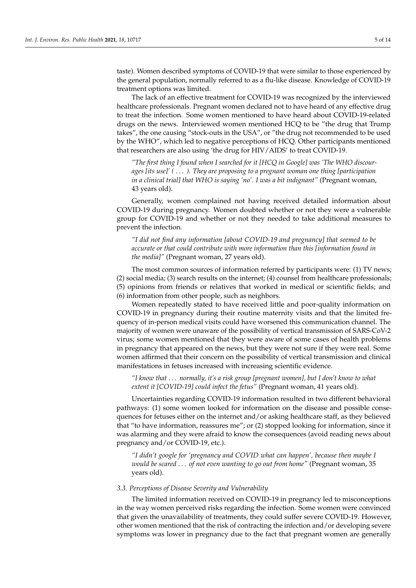taste). Women described symptoms of COVID-19 that were similar to those experienced by the general population, normally referred to as a flu-like disease. Knowledge of COVID-19 treatment options was limited.

The lack of an effective treatment for COVID-19 was recognized by the interviewed healthcare professionals. Pregnant women declared not to have heard of any effective drug to treat the infection. Some women mentioned to have heard about COVID-19-related drugs on the news. Interviewed women mentioned HCQ to be "the drug that Trump takes", the one causing "stock-outs in the USA", or "the drug not recommended to be used by the WHO", which led to negative perceptions of HCQ. Other participants mentioned that researchers are also using 'the drug for HIV/AIDS' to treat COVID-19.

*"The first thing I found when I searched for it [HCQ in Google] was 'The WHO discourages [its use]' (* . . . *). They are proposing to a pregnant woman one thing [participation in a clinical trial] that WHO is saying 'no'. I was a bit indignant"* (Pregnant woman, 43 years old).

Generally, women complained not having received detailed information about COVID-19 during pregnancy. Women doubted whether or not they were a vulnerable group for COVID-19 and whether or not they needed to take additional measures to prevent the infection.

*"I did not find any information [about COVID-19 and pregnancy] that seemed to be accurate or that could contribute with more information than this [information found in the media]"* (Pregnant woman, 27 years old).

The most common sources of information referred by participants were: (1) TV news; (2) social media; (3) search results on the internet; (4) counsel from healthcare professionals; (5) opinions from friends or relatives that worked in medical or scientific fields; and (6) information from other people, such as neighbors.

Women repeatedly stated to have received little and poor-quality information on COVID-19 in pregnancy during their routine maternity visits and that the limited frequency of in-person medical visits could have worsened this communication channel. The majority of women were unaware of the possibility of vertical transmission of SARS-CoV-2 virus; some women mentioned that they were aware of some cases of health problems in pregnancy that appeared on the news, but they were not sure if they were real. Some women affirmed that their concern on the possibility of vertical transmission and clinical manifestations in fetuses increased with increasing scientific evidence.

*"I know that* . . . *normally, it's a risk group [pregnant women], but I don't know to what extent it [COVID-19] could infect the fetus"* (Pregnant woman, 41 years old).

Uncertainties regarding COVID-19 information resulted in two different behavioral pathways: (1) some women looked for information on the disease and possible consequences for fetuses either on the internet and/or asking healthcare staff, as they believed that "to have information, reassures me"; or (2) stopped looking for information, since it was alarming and they were afraid to know the consequences (avoid reading news about pregnancy and/or COVID-19, etc.).

*"I didn't google for 'pregnancy and COVID what can happen', because then maybe I would be scared* . . . *of not even wanting to go out from home"* (Pregnant woman, 35 years old).

#### *3.3. Perceptions of Disease Severity and Vulnerability*

The limited information received on COVID-19 in pregnancy led to misconceptions in the way women perceived risks regarding the infection. Some women were convinced that given the unavailability of treatments, they could suffer severe COVID-19. However, other women mentioned that the risk of contracting the infection and/or developing severe symptoms was lower in pregnancy due to the fact that pregnant women are generally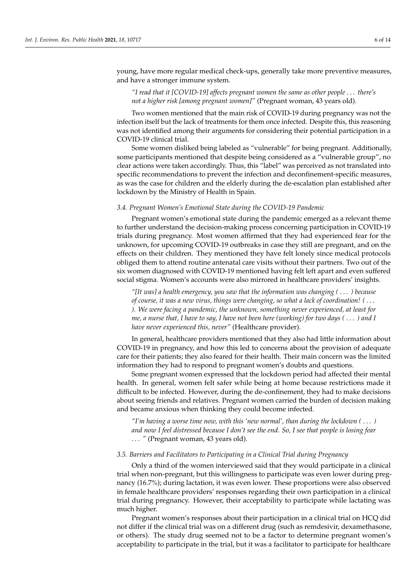young, have more regular medical check-ups, generally take more preventive measures, and have a stronger immune system.

# *"I read that it [COVID-19] affects pregnant women the same as other people* . . . *there's not a higher risk [among pregnant women]"* (Pregnant woman, 43 years old).

Two women mentioned that the main risk of COVID-19 during pregnancy was not the infection itself but the lack of treatments for them once infected. Despite this, this reasoning was not identified among their arguments for considering their potential participation in a COVID-19 clinical trial.

Some women disliked being labeled as "vulnerable" for being pregnant. Additionally, some participants mentioned that despite being considered as a "vulnerable group", no clear actions were taken accordingly. Thus, this "label" was perceived as not translated into specific recommendations to prevent the infection and deconfinement-specific measures, as was the case for children and the elderly during the de-escalation plan established after lockdown by the Ministry of Health in Spain.

# *3.4. Pregnant Women's Emotional State during the COVID-19 Pandemic*

Pregnant women's emotional state during the pandemic emerged as a relevant theme to further understand the decision-making process concerning participation in COVID-19 trials during pregnancy. Most women affirmed that they had experienced fear for the unknown, for upcoming COVID-19 outbreaks in case they still are pregnant, and on the effects on their children. They mentioned they have felt lonely since medical protocols obliged them to attend routine antenatal care visits without their partners. Two out of the six women diagnosed with COVID-19 mentioned having felt left apart and even suffered social stigma. Women's accounts were also mirrored in healthcare providers' insights.

*"[It was] a health emergency, you saw that the information was changing (* . . . *) because of course, it was a new virus, things were changing, so what a lack of coordination! (* . . . *). We were facing a pandemic, the unknown, something never experienced, at least for me, a nurse that, I have to say, I have not been here (working) for two days (* . . . *) and I have never experienced this, never"* (Healthcare provider).

In general, healthcare providers mentioned that they also had little information about COVID-19 in pregnancy, and how this led to concerns about the provision of adequate care for their patients; they also feared for their health. Their main concern was the limited information they had to respond to pregnant women's doubts and questions.

Some pregnant women expressed that the lockdown period had affected their mental health. In general, women felt safer while being at home because restrictions made it difficult to be infected. However, during the de-confinement, they had to make decisions about seeing friends and relatives. Pregnant women carried the burden of decision making and became anxious when thinking they could become infected.

*"I'm having a worse time now, with this 'new normal', than during the lockdown (* . . . *) and now I feel distressed because I don't see the end. So, I see that people is losing fear* . . . *"* (Pregnant woman, 43 years old).

# *3.5. Barriers and Facilitators to Participating in a Clinical Trial during Pregnancy*

Only a third of the women interviewed said that they would participate in a clinical trial when non-pregnant, but this willingness to participate was even lower during pregnancy (16.7%); during lactation, it was even lower. These proportions were also observed in female healthcare providers' responses regarding their own participation in a clinical trial during pregnancy. However, their acceptability to participate while lactating was much higher.

Pregnant women's responses about their participation in a clinical trial on HCQ did not differ if the clinical trial was on a different drug (such as remdesivir, dexamethasone, or others). The study drug seemed not to be a factor to determine pregnant women's acceptability to participate in the trial, but it was a facilitator to participate for healthcare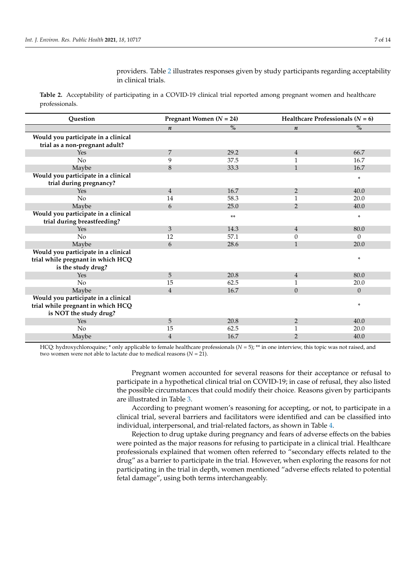providers. Table [2](#page-6-0) illustrates responses given by study participants regarding acceptability in clinical trials.

<span id="page-6-0"></span>**Table 2.** Acceptability of participating in a COVID-19 clinical trial reported among pregnant women and healthcare professionals.

| Question                                                                                       | Pregnant Women $(N = 24)$ |       | Healthcare Professionals ( $N = 6$ ) |               |
|------------------------------------------------------------------------------------------------|---------------------------|-------|--------------------------------------|---------------|
|                                                                                                | $\boldsymbol{n}$          | $\%$  | $\boldsymbol{n}$                     | $\frac{0}{0}$ |
| Would you participate in a clinical<br>trial as a non-pregnant adult?                          |                           |       |                                      |               |
| Yes                                                                                            | 7                         | 29.2  | $\overline{4}$                       | 66.7          |
| No                                                                                             | 9                         | 37.5  |                                      | 16.7          |
| Maybe                                                                                          | 8                         | 33.3  | $\mathbf{1}$                         | 16.7          |
| Would you participate in a clinical<br>trial during pregnancy?                                 |                           |       |                                      | *             |
| Yes                                                                                            | $\overline{4}$            | 16.7  | $\overline{2}$                       | 40.0          |
| No                                                                                             | 14                        | 58.3  | 1                                    | 20.0          |
| Maybe                                                                                          | 6                         | 25.0  | 2                                    | 40.0          |
| Would you participate in a clinical<br>trial during breastfeeding?                             |                           | $***$ |                                      | $\ast$        |
| Yes                                                                                            | 3                         | 14.3  | $\overline{4}$                       | 80.0          |
| No                                                                                             | 12                        | 57.1  | $\theta$                             | $\Omega$      |
| Maybe                                                                                          | 6                         | 28.6  | $\mathbf{1}$                         | 20.0          |
| Would you participate in a clinical<br>trial while pregnant in which HCQ<br>is the study drug? |                           |       |                                      | $\ast$        |
| Yes                                                                                            | 5                         | 20.8  | $\overline{4}$                       | 80.0          |
| No                                                                                             | 15                        | 62.5  | 1                                    | 20.0          |
| Maybe                                                                                          | $\overline{4}$            | 16.7  | $\theta$                             | $\theta$      |
| Would you participate in a clinical                                                            |                           |       |                                      |               |
| trial while pregnant in which HCQ<br>is NOT the study drug?                                    |                           |       |                                      | *             |
| Yes                                                                                            | 5                         | 20.8  | $\overline{2}$                       | 40.0          |
| No                                                                                             | 15                        | 62.5  | $\mathbf{1}$                         | 20.0          |
| Maybe                                                                                          | $\overline{4}$            | 16.7  | $\overline{2}$                       | 40.0          |

HCQ: hydroxychloroquine; \* only applicable to female healthcare professionals (*N* = 5); \*\* in one interview, this topic was not raised, and two women were not able to lactate due to medical reasons (*N* = 21).

> Pregnant women accounted for several reasons for their acceptance or refusal to participate in a hypothetical clinical trial on COVID-19; in case of refusal, they also listed the possible circumstances that could modify their choice. Reasons given by participants are illustrated in Table [3.](#page-7-0)

> According to pregnant women's reasoning for accepting, or not, to participate in a clinical trial, several barriers and facilitators were identified and can be classified into individual, interpersonal, and trial-related factors, as shown in Table [4.](#page-8-0)

> Rejection to drug uptake during pregnancy and fears of adverse effects on the babies were pointed as the major reasons for refusing to participate in a clinical trial. Healthcare professionals explained that women often referred to "secondary effects related to the drug" as a barrier to participate in the trial. However, when exploring the reasons for not participating in the trial in depth, women mentioned "adverse effects related to potential fetal damage", using both terms interchangeably.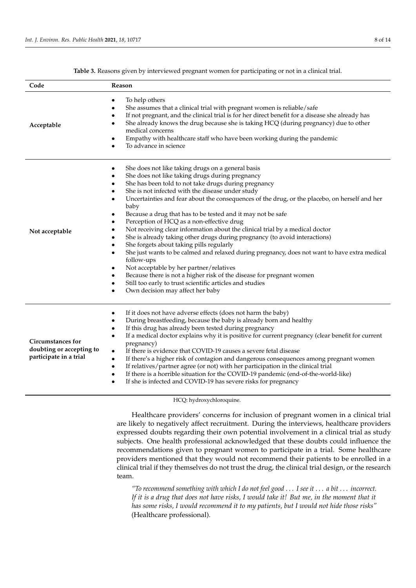<span id="page-7-0"></span>

| Code                                                                           | Reason                                                                                                                                                                                                                                                                                                                                                                                                                                                                                                                                                                                                                                                                                                                                                                                                                                                                                                                                                                                                                                              |
|--------------------------------------------------------------------------------|-----------------------------------------------------------------------------------------------------------------------------------------------------------------------------------------------------------------------------------------------------------------------------------------------------------------------------------------------------------------------------------------------------------------------------------------------------------------------------------------------------------------------------------------------------------------------------------------------------------------------------------------------------------------------------------------------------------------------------------------------------------------------------------------------------------------------------------------------------------------------------------------------------------------------------------------------------------------------------------------------------------------------------------------------------|
| Acceptable                                                                     | To help others<br>٠<br>She assumes that a clinical trial with pregnant women is reliable/safe<br>٠<br>If not pregnant, and the clinical trial is for her direct benefit for a disease she already has<br>٠<br>She already knows the drug because she is taking HCQ (during pregnancy) due to other<br>medical concerns<br>Empathy with healthcare staff who have been working during the pandemic<br>٠<br>To advance in science                                                                                                                                                                                                                                                                                                                                                                                                                                                                                                                                                                                                                     |
| Not acceptable                                                                 | She does not like taking drugs on a general basis<br>٠<br>She does not like taking drugs during pregnancy<br>٠<br>She has been told to not take drugs during pregnancy<br>٠<br>She is not infected with the disease under study<br>Uncertainties and fear about the consequences of the drug, or the placebo, on herself and her<br>baby<br>Because a drug that has to be tested and it may not be safe<br>٠<br>Perception of HCQ as a non-effective drug<br>٠<br>Not receiving clear information about the clinical trial by a medical doctor<br>٠<br>She is already taking other drugs during pregnancy (to avoid interactions)<br>$\bullet$<br>She forgets about taking pills regularly<br>٠<br>She just wants to be calmed and relaxed during pregnancy, does not want to have extra medical<br>$\bullet$<br>follow-ups<br>Not acceptable by her partner/relatives<br>٠<br>Because there is not a higher risk of the disease for pregnant women<br>Still too early to trust scientific articles and studies<br>Own decision may affect her baby |
| <b>Circumstances for</b><br>doubting or accepting to<br>participate in a trial | If it does not have adverse effects (does not harm the baby)<br>٠<br>During breastfeeding, because the baby is already born and healthy<br>$\bullet$<br>If this drug has already been tested during pregnancy<br>If a medical doctor explains why it is positive for current pregnancy (clear benefit for current<br>$\bullet$<br>pregnancy)<br>If there is evidence that COVID-19 causes a severe fetal disease<br>$\bullet$<br>If there's a higher risk of contagion and dangerous consequences among pregnant women<br>$\bullet$<br>If relatives/partner agree (or not) with her participation in the clinical trial<br>$\bullet$<br>If there is a horrible situation for the COVID-19 pandemic (end-of-the-world-like)<br>٠<br>If she is infected and COVID-19 has severe risks for pregnancy<br>٠                                                                                                                                                                                                                                              |

**Table 3.** Reasons given by interviewed pregnant women for participating or not in a clinical trial.

# HCQ: hydroxychloroquine.

Healthcare providers' concerns for inclusion of pregnant women in a clinical trial are likely to negatively affect recruitment. During the interviews, healthcare providers expressed doubts regarding their own potential involvement in a clinical trial as study subjects. One health professional acknowledged that these doubts could influence the recommendations given to pregnant women to participate in a trial. Some healthcare providers mentioned that they would not recommend their patients to be enrolled in a clinical trial if they themselves do not trust the drug, the clinical trial design, or the research team.

*"To recommend something with which I do not feel good* . . . *I see it* . . . *a bit* . . . *incorrect. If it is a drug that does not have risks, I would take it! But me, in the moment that it has some risks, I would recommend it to my patients, but I would not hide those risks"* (Healthcare professional).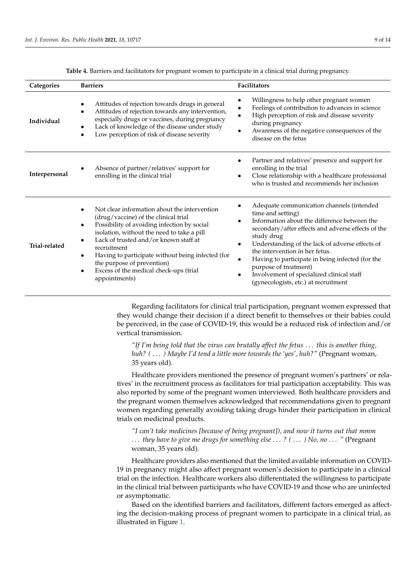<span id="page-8-0"></span>

| Categories    | <b>Barriers</b>                                                                                                                                                                                                                                                                                                                                                                                                   | Facilitators                                                                                                                                                                                                                                                                                                                                                                                                                              |
|---------------|-------------------------------------------------------------------------------------------------------------------------------------------------------------------------------------------------------------------------------------------------------------------------------------------------------------------------------------------------------------------------------------------------------------------|-------------------------------------------------------------------------------------------------------------------------------------------------------------------------------------------------------------------------------------------------------------------------------------------------------------------------------------------------------------------------------------------------------------------------------------------|
| Individual    | Attitudes of rejection towards drugs in general<br>Attitudes of rejection towards any intervention,<br>$\bullet$<br>especially drugs or vaccines, during pregnancy<br>Lack of knowledge of the disease under study<br>Low perception of risk of disease severity                                                                                                                                                  | Willingness to help other pregnant women<br>Feelings of contribution to advances in science<br>High perception of risk and disease severity<br>during pregnancy<br>Awareness of the negative consequences of the<br>disease on the fetus                                                                                                                                                                                                  |
| Interpersonal | Absence of partner/relatives' support for<br>enrolling in the clinical trial                                                                                                                                                                                                                                                                                                                                      | Partner and relatives' presence and support for<br>enrolling in the trial<br>Close relationship with a healthcare professional<br>who is trusted and recommends her inclusion                                                                                                                                                                                                                                                             |
| Trial-related | Not clear information about the intervention<br>(drug/vaccine) of the clinical trial<br>Possibility of avoiding infection by social<br>$\bullet$<br>isolation, without the need to take a pill<br>Lack of trusted and/or known staff at<br>recruitment<br>Having to participate without being infected (for<br>the purpose of prevention)<br>Excess of the medical check-ups (trial<br>$\bullet$<br>appointments) | Adequate communication channels (intended<br>time and setting)<br>Information about the difference between the<br>secondary/after effects and adverse effects of the<br>study drug<br>Understanding of the lack of adverse effects of<br>the intervention in her fetus.<br>Having to participate in being infected (for the<br>purpose of treatment)<br>Involvement of specialized clinical staff<br>(gynecologists, etc.) at recruitment |

**Table 4.** Barriers and facilitators for pregnant women to participate in a clinical trial during pregnancy.

Regarding facilitators for clinical trial participation, pregnant women expressed that they would change their decision if a direct benefit to themselves or their babies could be perceived, in the case of COVID-19, this would be a reduced risk of infection and/or vertical transmission.

*"If I'm being told that the virus can brutally affect the fetus* . . . *this is another thing, huh? (* . . . *) Maybe I'd tend a little more towards the 'yes', huh?"* (Pregnant woman, 35 years old).

Healthcare providers mentioned the presence of pregnant women's partners' or relatives' in the recruitment process as facilitators for trial participation acceptability. This was also reported by some of the pregnant women interviewed. Both healthcare providers and the pregnant women themselves acknowledged that recommendations given to pregnant women regarding generally avoiding taking drugs hinder their participation in clinical trials on medicinal products.

*"I can't take medicines [because of being pregnant]), and now it turns out that mmm* . . . *they have to give me drugs for something else* . . . *? (* . . . *) No, no* . . . *"* (Pregnant woman, 35 years old).

Healthcare providers also mentioned that the limited available information on COVID-19 in pregnancy might also affect pregnant women's decision to participate in a clinical trial on the infection. Healthcare workers also differentiated the willingness to participate in the clinical trial between participants who have COVID-19 and those who are uninfected or asymptomatic.

Based on the identified barriers and facilitators, different factors emerged as affecting the decision-making process of pregnant women to participate in a clinical trial, as illustrated in Figure [1.](#page-9-0)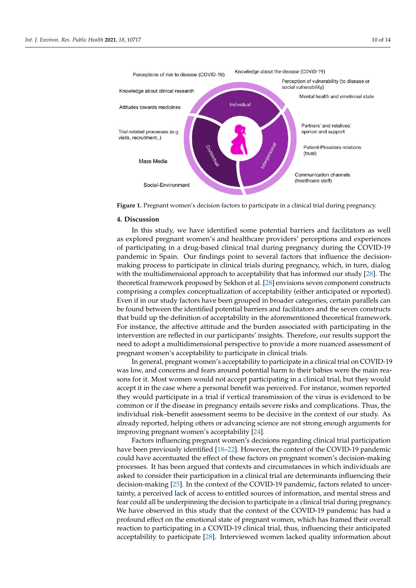<span id="page-9-0"></span>



**Figure 1.** Pregnant women's decision factors to participate in a clinical trial during pregnancy.

# **4. Discussion**

trated in Figure 1.

Knowledge about clinical research

Attitudes towards medicines

**Figure 1.** Pregnant women's decision factors to participate in a clinical trial during pregnancy. as explored pregnant women's and healthcare providers' perceptions and experiences of participating in a drug-based clinical trial during pregnancy during the COVID-19 particulare in optime. Our intentiger point to several ractors that influence the decision<br>making process to participate in clinical trials during pregnancy, which, in turn, dialog making process to participate in emitted trials during pregnancy, which, in tarit, dialog<br>with the multidimensional approach to acceptability that has informed our study [\[28\]](#page-13-7). The theoretical framework proposed by Sekhon et al.  $[28]$  envisions seven component constructs process to participate in clinical trials during pregnancy, which, in turn, dialog with the comprising a complex conceptualization of acceptability (either anticipated or reported). Even if in our study factors have been grouped in broader categories, certain parallels can<br>Even if in our study factors have been grouped in broader categories, certain parallels can be found between the identified potential barriers and facilitators and the seven constructs be found between the identified potential barriers and facilitators and the seven constructs that build up the definition of acceptability in the aforementioned theoretical framework. For instance, the affective attitude and the burden associated with participating in the intervention are reflected in our participants' insights. Therefore, our results support the need to adopt a multidimensional perspective to provide a more nuanced assessment of pregnant women's acceptability to participate in clinical trials. In this study, we have identified some potential barriers and facilitators as well pandemic in Spain. Our findings point to several factors that influence the decision-

In general, pregnant women's acceptability to participate in a clinical trial on COVID-19 was low, and concerns and fears around potential harm to their babies were the main reasons for it. Most women would not accept participating in a clinical trial, but they would accept it in the case where a personal benefit was perceived. For instance, women reported they would participate in a trial if vertical transmission of the virus is evidenced to be common or if the disease in pregnancy entails severe risks and complications. Thus, the individual risk–benefit assessment seems to be decisive in the context of our study. As already reported, helping others or advancing science are not strong enough arguments for improving pregnant women's acceptability [\[24\]](#page-13-3).

Factors influencing pregnant women's decisions regarding clinical trial participation have been previously identified [\[18–](#page-12-12)[22\]](#page-13-0). However, the context of the COVID-19 pandemic could have accentuated the effect of these factors on pregnant women's decision-making processes. It has been argued that contexts and circumstances in which individuals are asked to consider their participation in a clinical trial are determinants influencing their decision-making [\[25\]](#page-13-4). In the context of the COVID-19 pandemic, factors related to uncertainty, a perceived lack of access to entitled sources of information, and mental stress and fear could all be underpinning the decision to participate in a clinical trial during pregnancy. We have observed in this study that the context of the COVID-19 pandemic has had a profound effect on the emotional state of pregnant women, which has framed their overall reaction to participating in a COVID-19 clinical trial, thus, influencing their anticipated acceptability to participate [\[28\]](#page-13-7). Interviewed women lacked quality information about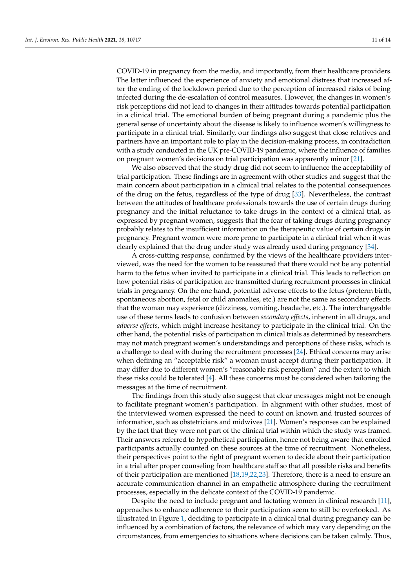COVID-19 in pregnancy from the media, and importantly, from their healthcare providers. The latter influenced the experience of anxiety and emotional distress that increased after the ending of the lockdown period due to the perception of increased risks of being infected during the de-escalation of control measures. However, the changes in women's risk perceptions did not lead to changes in their attitudes towards potential participation in a clinical trial. The emotional burden of being pregnant during a pandemic plus the general sense of uncertainty about the disease is likely to influence women's willingness to participate in a clinical trial. Similarly, our findings also suggest that close relatives and partners have an important role to play in the decision-making process, in contradiction with a study conducted in the UK pre-COVID-19 pandemic, where the influence of families on pregnant women's decisions on trial participation was apparently minor [\[21\]](#page-13-2).

We also observed that the study drug did not seem to influence the acceptability of trial participation. These findings are in agreement with other studies and suggest that the main concern about participation in a clinical trial relates to the potential consequences of the drug on the fetus, regardless of the type of drug [\[33\]](#page-13-12). Nevertheless, the contrast between the attitudes of healthcare professionals towards the use of certain drugs during pregnancy and the initial reluctance to take drugs in the context of a clinical trial, as expressed by pregnant women, suggests that the fear of taking drugs during pregnancy probably relates to the insufficient information on the therapeutic value of certain drugs in pregnancy. Pregnant women were more prone to participate in a clinical trial when it was clearly explained that the drug under study was already used during pregnancy [\[34\]](#page-13-13).

A cross-cutting response, confirmed by the views of the healthcare providers interviewed, was the need for the women to be reassured that there would not be any potential harm to the fetus when invited to participate in a clinical trial. This leads to reflection on how potential risks of participation are transmitted during recruitment processes in clinical trials in pregnancy. On the one hand, potential adverse effects to the fetus (preterm birth, spontaneous abortion, fetal or child anomalies, etc.) are not the same as secondary effects that the woman may experience (dizziness, vomiting, headache, etc.). The interchangeable use of these terms leads to confusion between *secondary effects*, inherent in all drugs, and *adverse effects*, which might increase hesitancy to participate in the clinical trial. On the other hand, the potential risks of participation in clinical trials as determined by researchers may not match pregnant women's understandings and perceptions of these risks, which is a challenge to deal with during the recruitment processes [\[24\]](#page-13-3). Ethical concerns may arise when defining an "acceptable risk" a woman must accept during their participation. It may differ due to different women's "reasonable risk perception" and the extent to which these risks could be tolerated [\[4\]](#page-12-2). All these concerns must be considered when tailoring the messages at the time of recruitment.

The findings from this study also suggest that clear messages might not be enough to facilitate pregnant women's participation. In alignment with other studies, most of the interviewed women expressed the need to count on known and trusted sources of information, such as obstetricians and midwives [\[21\]](#page-13-2). Women's responses can be explained by the fact that they were not part of the clinical trial within which the study was framed. Their answers referred to hypothetical participation, hence not being aware that enrolled participants actually counted on these sources at the time of recruitment. Nonetheless, their perspectives point to the right of pregnant women to decide about their participation in a trial after proper counseling from healthcare staff so that all possible risks and benefits of their participation are mentioned [\[18,](#page-12-12)[19](#page-12-13)[,22,](#page-13-0)[23\]](#page-13-1). Therefore, there is a need to ensure an accurate communication channel in an empathetic atmosphere during the recruitment processes, especially in the delicate context of the COVID-19 pandemic.

Despite the need to include pregnant and lactating women in clinical research [\[11\]](#page-12-14), approaches to enhance adherence to their participation seem to still be overlooked. As illustrated in Figure [1,](#page-9-0) deciding to participate in a clinical trial during pregnancy can be influenced by a combination of factors, the relevance of which may vary depending on the circumstances, from emergencies to situations where decisions can be taken calmly. Thus,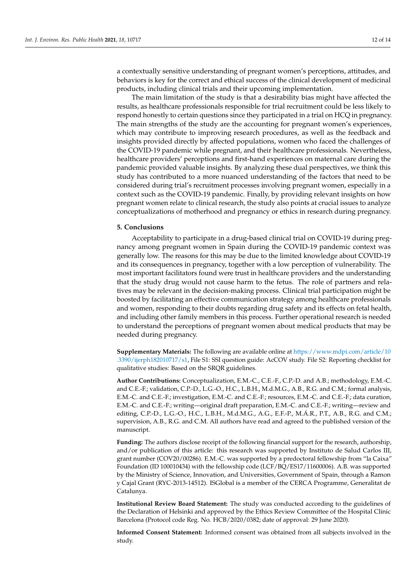a contextually sensitive understanding of pregnant women's perceptions, attitudes, and behaviors is key for the correct and ethical success of the clinical development of medicinal products, including clinical trials and their upcoming implementation.

The main limitation of the study is that a desirability bias might have affected the results, as healthcare professionals responsible for trial recruitment could be less likely to respond honestly to certain questions since they participated in a trial on HCQ in pregnancy. The main strengths of the study are the accounting for pregnant women's experiences, which may contribute to improving research procedures, as well as the feedback and insights provided directly by affected populations, women who faced the challenges of the COVID-19 pandemic while pregnant, and their healthcare professionals. Nevertheless, healthcare providers' perceptions and first-hand experiences on maternal care during the pandemic provided valuable insights. By analyzing these dual perspectives, we think this study has contributed to a more nuanced understanding of the factors that need to be considered during trial's recruitment processes involving pregnant women, especially in a context such as the COVID-19 pandemic. Finally, by providing relevant insights on how pregnant women relate to clinical research, the study also points at crucial issues to analyze conceptualizations of motherhood and pregnancy or ethics in research during pregnancy.

# **5. Conclusions**

Acceptability to participate in a drug-based clinical trial on COVID-19 during pregnancy among pregnant women in Spain during the COVID-19 pandemic context was generally low. The reasons for this may be due to the limited knowledge about COVID-19 and its consequences in pregnancy, together with a low perception of vulnerability. The most important facilitators found were trust in healthcare providers and the understanding that the study drug would not cause harm to the fetus. The role of partners and relatives may be relevant in the decision-making process. Clinical trial participation might be boosted by facilitating an effective communication strategy among healthcare professionals and women, responding to their doubts regarding drug safety and its effects on fetal health, and including other family members in this process. Further operational research is needed to understand the perceptions of pregnant women about medical products that may be needed during pregnancy.

**Supplementary Materials:** The following are available online at [https://www.mdpi.com/article/10](https://www.mdpi.com/article/10.3390/ijerph182010717/s1) [.3390/ijerph182010717/s1,](https://www.mdpi.com/article/10.3390/ijerph182010717/s1) File S1: SSI question guide: AcCOV study. File S2: Reporting checklist for qualitative studies: Based on the SRQR guidelines.

**Author Contributions:** Conceptualization, E.M.-C., C.E.-F., C.P.-D. and A.B.; methodology, E.M.-C. and C.E.-F.; validation, C.P.-D., L.G.-O., H.C., L.B.H., M.d.M.G., A.B., R.G. and C.M.; formal analysis, E.M.-C. and C.E.-F.; investigation, E.M.-C. and C.E.-F.; resources, E.M.-C. and C.E.-F.; data curation, E.M.-C. and C.E.-F.; writing—original draft preparation, E.M.-C. and C.E.-F.; writing—review and editing, C.P.-D., L.G.-O., H.C., L.B.H., M.d.M.G., A.G., E.F.-P., M.Á.R., P.T., A.B., R.G. and C.M.; supervision, A.B., R.G. and C.M. All authors have read and agreed to the published version of the manuscript.

**Funding:** The authors disclose receipt of the following financial support for the research, authorship, and/or publication of this article: this research was supported by Instituto de Salud Carlos III, grant number (COV20/00286). E.M.-C. was supported by a predoctoral fellowship from "la Caixa" Foundation (ID 100010434) with the fellowship code (LCF/BQ/ES17/11600006). A.B. was supported by the Ministry of Science, Innovation, and Universities, Government of Spain, through a Ramon y Cajal Grant (RYC-2013-14512). ISGlobal is a member of the CERCA Programme, Generalitat de Catalunya.

**Institutional Review Board Statement:** The study was conducted according to the guidelines of the Declaration of Helsinki and approved by the Ethics Review Committee of the Hospital Clínic Barcelona (Protocol code Reg. No. HCB/2020/0382; date of approval: 29 June 2020).

**Informed Consent Statement:** Informed consent was obtained from all subjects involved in the study.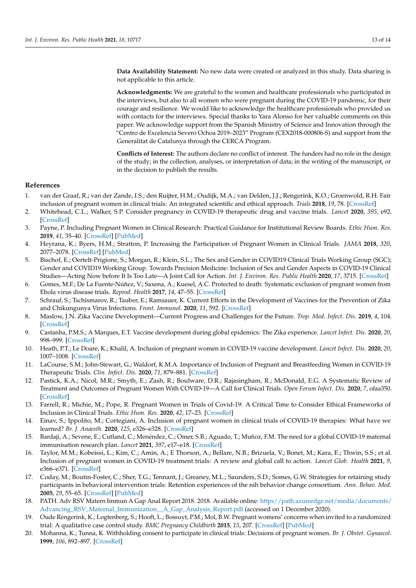**Data Availability Statement:** No new data were created or analyzed in this study. Data sharing is not applicable to this article.

**Acknowledgments:** We are grateful to the women and healthcare professionals who participated in the interviews, but also to all women who were pregnant during the COVID-19 pandemic, for their courage and resilience. We would like to acknowledge the healthcare professionals who provided us with contacts for the interviews. Special thanks to Yara Alonso for her valuable comments on this paper. We acknowledge support from the Spanish Ministry of Science and Innovation through the "Centro de Excelencia Severo Ochoa 2019–2023" Program (CEX2018-000806-S) and support from the Generalitat de Catalunya through the CERCA Program.

**Conflicts of Interest:** The authors declare no conflict of interest. The funders had no role in the design of the study; in the collection, analyses, or interpretation of data; in the writing of the manuscript, or in the decision to publish the results.

# **References**

- <span id="page-12-0"></span>1. van der Graaf, R.; van der Zande, I.S.; den Ruijter, H.M.; Oudijk, M.A.; van Delden, J.J.; Rengerink, K.O.; Groenwold, R.H. Fair inclusion of pregnant women in clinical trials: An integrated scientific and ethical approach. *Trials* **2018**, *19*, 78. [\[CrossRef\]](http://doi.org/10.1186/s13063-017-2402-9)
- <span id="page-12-7"></span>2. Whitehead, C.L.; Walker, S.P. Consider pregnancy in COVID-19 therapeutic drug and vaccine trials. *Lancet* **2020**, *395*, e92. [\[CrossRef\]](http://doi.org/10.1016/S0140-6736(20)31029-1)
- <span id="page-12-1"></span>3. Payne, P. Including Pregnant Women in Clinical Research: Practical Guidance for Institutional Review Boards. *Ethic Hum. Res.* **2019**, *41*, 35–40. [\[CrossRef\]](http://doi.org/10.1002/eahr.500036) [\[PubMed\]](http://www.ncbi.nlm.nih.gov/pubmed/31743630)
- <span id="page-12-2"></span>4. Heyrana, K.; Byers, H.M.; Stratton, P. Increasing the Participation of Pregnant Women in Clinical Trials. *JAMA* **2018**, *320*, 2077–2078. [\[CrossRef\]](http://doi.org/10.1001/jama.2018.17716) [\[PubMed\]](http://www.ncbi.nlm.nih.gov/pubmed/30422300)
- <span id="page-12-3"></span>5. Bischof, E.; Oertelt-Prigione, S.; Morgan, R.; Klein, S.L.; The Sex and Gender in COVID19 Clinical Trials Working Group (SGC); Gender and COVID19 Working Group. Towards Precision Medicine: Inclusion of Sex and Gender Aspects in COVID-19 Clinical Studies—Acting Now before It Is Too Late—A Joint Call for Action. *Int. J. Environ. Res. Public Health* **2020**, *17*, 3715. [\[CrossRef\]](http://doi.org/10.3390/ijerph17103715)
- <span id="page-12-4"></span>6. Gomes, M.F.; De La Fuente-Núñez, V.; Saxena, A.; Kuesel, A.C. Protected to death: Systematic exclusion of pregnant women from Ebola virus disease trials. *Reprod. Health* **2017**, *14*, 47–55. [\[CrossRef\]](http://doi.org/10.1186/s12978-017-0430-2)
- <span id="page-12-5"></span>7. Schrauf, S.; Tschismarov, R.; Tauber, E.; Ramsauer, K. Current Efforts in the Development of Vaccines for the Prevention of Zika and Chikungunya Virus Infections. *Front. Immunol.* **2020**, *11*, 592. [\[CrossRef\]](http://doi.org/10.3389/fimmu.2020.00592)
- 8. Maslow, J.N. Zika Vaccine Development—Current Progress and Challenges for the Future. *Trop. Med. Infect. Dis.* **2019**, *4*, 104. [\[CrossRef\]](http://doi.org/10.3390/tropicalmed4030104)
- <span id="page-12-6"></span>9. Castanha, P.M.S.; A Marques, E.T. Vaccine development during global epidemics: The Zika experience. *Lancet Infect. Dis.* **2020**, *20*, 998–999. [\[CrossRef\]](http://doi.org/10.1016/S1473-3099(20)30360-1)
- <span id="page-12-8"></span>10. Heath, P.T.; Le Doare, K.; Khalil, A. Inclusion of pregnant women in COVID-19 vaccine development. *Lancet Infect. Dis.* **2020**, *20*, 1007–1008. [\[CrossRef\]](http://doi.org/10.1016/S1473-3099(20)30638-1)
- <span id="page-12-14"></span>11. LaCourse, S.M.; John-Stewart, G.; Waldorf, K.M.A. Importance of Inclusion of Pregnant and Breastfeeding Women in COVID-19 Therapeutic Trials. *Clin. Infect. Dis.* **2020**, *71*, 879–881. [\[CrossRef\]](http://doi.org/10.1093/cid/ciaa444)
- 12. Pastick, K.A.; Nicol, M.R.; Smyth, E.; Zash, R.; Boulware, D.R.; Rajasingham, R.; McDonald, E.G. A Systematic Review of Treatment and Outcomes of Pregnant Women With COVID-19—A Call for Clinical Trials. *Open Forum Infect. Dis.* **2020**, *7*, ofaa350. [\[CrossRef\]](http://doi.org/10.1093/ofid/ofaa350)
- 13. Farrell, R.; Michie, M.; Pope, R. Pregnant Women in Trials of Covid-19: A Critical Time to Consider Ethical Frameworks of Inclusion in Clinical Trials. *Ethic Hum. Res.* **2020**, *42*, 17–23. [\[CrossRef\]](http://doi.org/10.1002/eahr.500060)
- 14. Einav, S.; Ippolito, M.; Cortegiani, A. Inclusion of pregnant women in clinical trials of COVID-19 therapies: What have we learned? *Br. J. Anaesth.* **2020**, *125*, e326–e328. [\[CrossRef\]](http://doi.org/10.1016/j.bja.2020.05.020)
- <span id="page-12-9"></span>15. Bardají, A.; Sevene, E.; Cutland, C.; Menéndez, C.; Omer, S.B.; Aguado, T.; Muñoz, F.M. The need for a global COVID-19 maternal immunisation research plan. *Lancet* **2021**, *397*, e17–e18. [\[CrossRef\]](http://doi.org/10.1016/S0140-6736(21)00146-X)
- <span id="page-12-10"></span>16. Taylor, M.M.; Kobeissi, L.; Kim, C.; Amin, A.; E Thorson, A.; Bellare, N.B.; Brizuela, V.; Bonet, M.; Kara, E.; Thwin, S.S.; et al. Inclusion of pregnant women in COVID-19 treatment trials: A review and global call to action. *Lancet Glob. Health* **2021**, *9*, e366–e371. [\[CrossRef\]](http://doi.org/10.1016/S2214-109X(20)30484-8)
- <span id="page-12-11"></span>17. Coday, M.; Boutin-Foster, C.; Sher, T.G.; Tennant, J.; Greaney, M.L.; Saunders, S.D.; Somes, G.W. Strategies for retaining study participants in behavioral intervention trials: Retention experiences of the nih behavior change consortium. *Ann. Behav. Med.* **2005**, *29*, 55–65. [\[CrossRef\]](http://doi.org/10.1207/s15324796abm2902s_9) [\[PubMed\]](http://www.ncbi.nlm.nih.gov/pubmed/15921490)
- <span id="page-12-12"></span>18. PATH. Adv RSV Matern Immun A Gap Anal Report 2018. 2018. Available online: [https//path.azureedge.net/media/documents/](https//path.azureedge.net/media/documents/Advancing_RSV_Maternal_Immunization__A_Gap_Analysis_Report.pdf) [Advancing\\_RSV\\_Maternal\\_Immunization\\_\\_A\\_Gap\\_Analysis\\_Report.pdf](https//path.azureedge.net/media/documents/Advancing_RSV_Maternal_Immunization__A_Gap_Analysis_Report.pdf) (accessed on 1 December 2020).
- <span id="page-12-13"></span>19. Oude Rengerink, K.; Logtenberg, S.; Hooft, L.; Bossuyt, P.M.; Mol, B.W. Pregnant womens' concerns when invited to a randomized trial: A qualitative case control study. *BMC Pregnancy Childbirth* **2015**, *15*, 207. [\[CrossRef\]](http://doi.org/10.1186/s12884-015-0641-x) [\[PubMed\]](http://www.ncbi.nlm.nih.gov/pubmed/26341516)
- 20. Mohanna, K.; Tunna, K. Withholding consent to participate in clinical trials: Decisions of pregnant women. *Br. J. Obstet. Gynaecol.* **1999**, *106*, 892–897. [\[CrossRef\]](http://doi.org/10.1111/j.1471-0528.1999.tb08426.x)